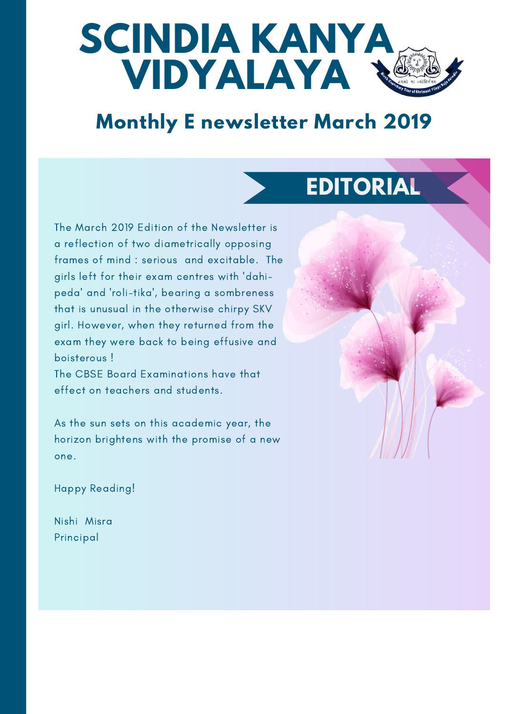

#### **Monthly E newsletter March 2019**

# **EDITORIAL**

The March 2019 Edition of the Newsletter is a reflection of two diametrically opposing frames of mind : serious and excitable. The girls left for their exam centres with 'dahipeda' and 'roli-tika', bearing a sombreness that is unusual in the otherwise chirpy SKV girl. However, when they returned from the exam they were back to being effusive and boisterous !

The CBSE Board Examinations have that effect on teachers and students.

As the sun sets on this academic year, the horizon brightens with the promise of a new one.

Happy Reading!

Nishi Misra Principal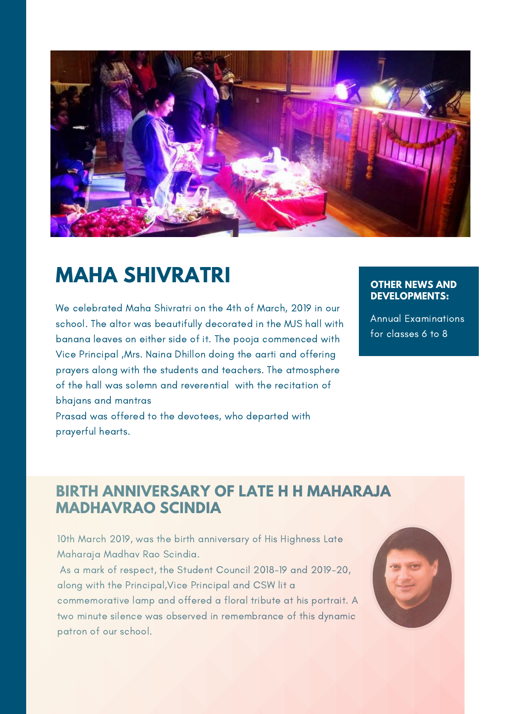

## **MAHA SHIVRATRI**

We celebrated Maha Shivratri on the 4th of March, 2019 in our school. The altor was beautifully decorated in the MJS hall with banana leaves on either side of it. The pooja commenced with Vice Principal ,Mrs. Naina Dhillon doing the aarti and offering prayers along with the students and teachers. The atmosphere of the hall was solemn and reverential with the recitation of bhajans and mantras

Prasad was offered to the devotees, who departed with prayerful hearts.

#### **OTHER NEWS AND DEVELOPMENTS:**

Annual Examinations for classes 6 to 8

#### **BIRTH ANNIVERSARY OF LATE H H MAHARAJA MADHAVRAO SCINDIA**

10th March 2019, was the birth anniversary of His Highness Late Maharaja Madhav Rao Scindia.

As a mark of respect, the Student Council 2018-19 and 2019-20, along with the Principal,Vice Principal and CSW lit a commemorative lamp and offered a floral tribute at his portrait. A two minute silence was observed in remembrance of this dynamic patron of our school.

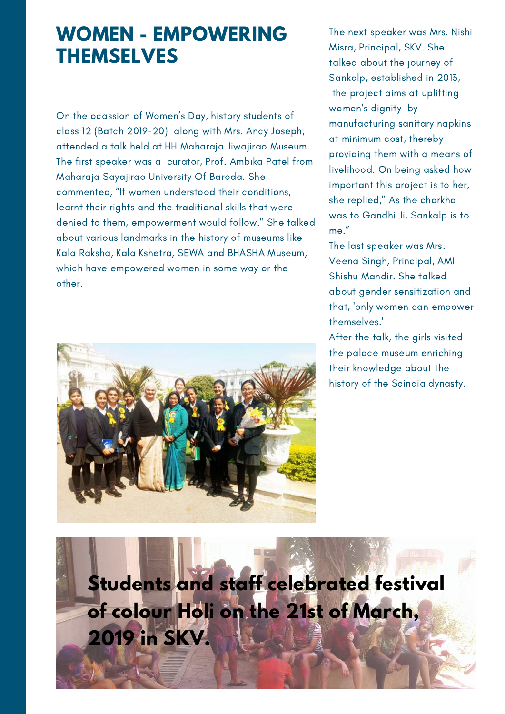#### **WOMEN - EMPOWERING THEMSELVES**

On the ocassion of Women's Day, history students of class 12 (Batch 2019-20) along with Mrs. Ancy Joseph, attended a talk held at HH Maharaja Jiwajirao Museum. The first speaker was a curator, Prof. Ambika Patel from Maharaja Sayajirao University Of Baroda. She commented, "If women understood their conditions, learnt their rights and the traditional skills that were denied to them, empowerment would follow." She talked about various landmarks in the history of museums like Kala Raksha, Kala Kshetra, SEWA and BHASHA Museum, which have empowered women in some way or the other.



The next speaker was Mrs. Nishi Misra, Principal, SKV. She talked about the journey of Sankalp, established in 2013, the project aims at uplifting women's dignity by manufacturing sanitary napkins at minimum cost, thereby providing them with a means of livelihood. On being asked how important this project is to her, she replied," As the charkha was to Gandhi Ji, Sankalp is to me."

The last speaker was Mrs. Veena Singh, Principal, AMI Shishu Mandir. She talked about gender sensitization and that, 'only women can empower themselves.'

After the talk, the girls visited the palace museum enriching their knowledge about the history of the Scindia dynasty.

**Students and staff celebrated festival of colour Holi on the 21st of March, 2019 in SKV.**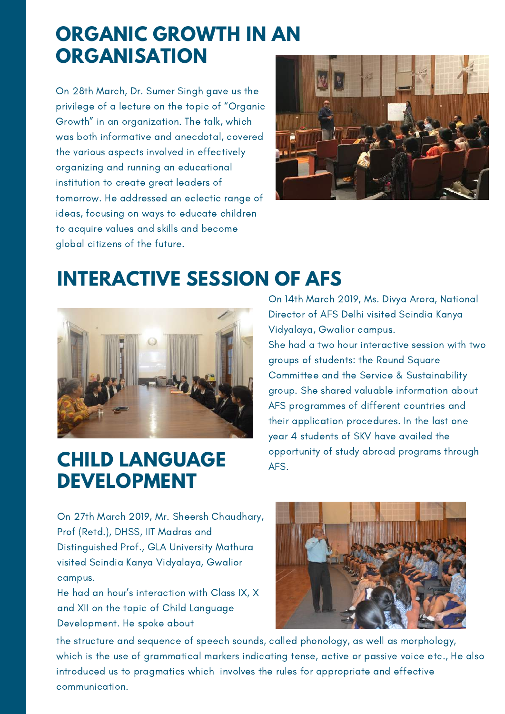#### **ORGANIC GROWTH IN AN ORGANISATION**

On 28th March, Dr. Sumer Singh gave us the privilege of a lecture on the topic of "Organic Growth" in an organization. The talk, which was both informative and anecdotal, covered the various aspects involved in effectively organizing and running an educational institution to create great leaders of tomorrow. He addressed an eclectic range of ideas, focusing on ways to educate children to acquire values and skills and become global citizens of the future.



## **INTERACTIVE SESSION OF AFS**



## **CHILD LANGUAGE DEVELOPMENT**

On 14th March 2019, Ms. Divya Arora, National Director of AFS Delhi visited Scindia Kanya Vidyalaya, Gwalior campus. She had a two hour interactive session with two groups of students: the Round Square Committee and the Service & Sustainability group. She shared valuable information about AFS programmes of different countries and their application procedures. In the last one year 4 students of SKV have availed the opportunity of study abroad programs through AFS.

On 27th March 2019, Mr. Sheersh Chaudhary, Prof (Retd.), DHSS, IIT Madras and Distinguished Prof., GLA University Mathura visited Scindia Kanya Vidyalaya, Gwalior campus.

He had an hour's interaction with Class IX, X and XII on the topic of Child Language Development. He spoke about



the structure and sequence of speech sounds, called phonology, as well as morphology, which is the use of grammatical markers indicating tense, active or passive voice etc., He also introduced us to pragmatics which involves the rules for appropriate and effective communication.